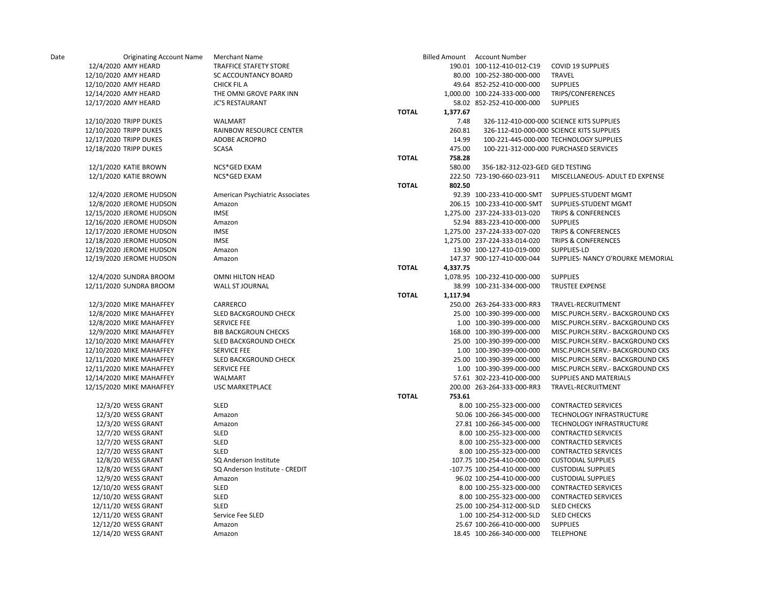| Date | <b>Originating Account Name</b> | <b>Merchant Name</b>            |              |          | <b>Billed Amount Account Number</b> |                                           |
|------|---------------------------------|---------------------------------|--------------|----------|-------------------------------------|-------------------------------------------|
|      | 12/4/2020 AMY HEARD             | <b>TRAFFICE STAFETY STORE</b>   |              |          | 190.01 100-112-410-012-C19          | <b>COVID 19 SUPPLIES</b>                  |
|      | 12/10/2020 AMY HEARD            | <b>SC ACCOUNTANCY BOARD</b>     |              |          | 80.00 100-252-380-000-000           | TRAVEL                                    |
|      | 12/10/2020 AMY HEARD            | <b>CHICK FIL A</b>              |              |          | 49.64 852-252-410-000-000           | <b>SUPPLIES</b>                           |
|      | 12/14/2020 AMY HEARD            | THE OMNI GROVE PARK INN         |              |          | 1,000.00 100-224-333-000-000        | TRIPS/CONFERENCES                         |
|      | 12/17/2020 AMY HEARD            | <b>JC'S RESTAURANT</b>          |              |          | 58.02 852-252-410-000-000           | <b>SUPPLIES</b>                           |
|      |                                 |                                 | <b>TOTAL</b> | 1,377.67 |                                     |                                           |
|      | 12/10/2020 TRIPP DUKES          | WALMART                         |              | 7.48     |                                     | 326-112-410-000-000 SCIENCE KITS SUPPLIES |
|      | 12/10/2020 TRIPP DUKES          | RAINBOW RESOURCE CENTER         |              | 260.81   |                                     | 326-112-410-000-000 SCIENCE KITS SUPPLIES |
|      | 12/17/2020 TRIPP DUKES          | ADOBE ACROPRO                   |              | 14.99    |                                     | 100-221-445-000-000 TECHNOLOGY SUPPLIES   |
|      | 12/18/2020 TRIPP DUKES          | <b>SCASA</b>                    |              | 475.00   |                                     | 100-221-312-000-000 PURCHASED SERVICES    |
|      |                                 |                                 | <b>TOTAL</b> | 758.28   |                                     |                                           |
|      | 12/1/2020 KATIE BROWN           | NCS*GED EXAM                    |              | 580.00   | 356-182-312-023-GED GED TESTING     |                                           |
|      | 12/1/2020 KATIE BROWN           | NCS*GED EXAM                    |              |          | 222.50 723-190-660-023-911          | MISCELLANEOUS- ADULT ED EXPENSE           |
|      |                                 |                                 | <b>TOTAL</b> | 802.50   |                                     |                                           |
|      | 12/4/2020 JEROME HUDSON         | American Psychiatric Associates |              |          | 92.39 100-233-410-000-SMT           | SUPPLIES-STUDENT MGMT                     |
|      | 12/8/2020 JEROME HUDSON         | Amazon                          |              |          | 206.15 100-233-410-000-SMT          | SUPPLIES-STUDENT MGMT                     |
|      | 12/15/2020 JEROME HUDSON        | <b>IMSE</b>                     |              |          | 1,275.00 237-224-333-013-020        | <b>TRIPS &amp; CONFERENCES</b>            |
|      | 12/16/2020 JEROME HUDSON        | Amazon                          |              |          | 52.94 883-223-410-000-000           | <b>SUPPLIES</b>                           |
|      | 12/17/2020 JEROME HUDSON        | <b>IMSE</b>                     |              |          | 1,275.00 237-224-333-007-020        | <b>TRIPS &amp; CONFERENCES</b>            |
|      | 12/18/2020 JEROME HUDSON        | <b>IMSE</b>                     |              |          | 1,275.00 237-224-333-014-020        | <b>TRIPS &amp; CONFERENCES</b>            |
|      | 12/19/2020 JEROME HUDSON        | Amazon                          |              |          | 13.90 100-127-410-019-000           | SUPPLIES-LD                               |
|      | 12/19/2020 JEROME HUDSON        | Amazon                          |              |          | 147.37 900-127-410-000-044          | SUPPLIES- NANCY O'ROURKE MEMORIAL         |
|      |                                 |                                 | <b>TOTAL</b> | 4,337.75 |                                     |                                           |
|      | 12/4/2020 SUNDRA BROOM          | <b>OMNI HILTON HEAD</b>         |              |          | 1,078.95 100-232-410-000-000        | <b>SUPPLIES</b>                           |
|      | 12/11/2020 SUNDRA BROOM         | <b>WALL ST JOURNAL</b>          |              |          | 38.99 100-231-334-000-000           | <b>TRUSTEE EXPENSE</b>                    |
|      |                                 |                                 | <b>TOTAL</b> | 1,117.94 |                                     |                                           |
|      | 12/3/2020 MIKE MAHAFFEY         | CARRERCO                        |              |          | 250.00 263-264-333-000-RR3          | TRAVEL-RECRUITMENT                        |
|      | 12/8/2020 MIKE MAHAFFEY         | SLED BACKGROUND CHECK           |              |          | 25.00 100-390-399-000-000           | MISC.PURCH.SERV.- BACKGROUND CKS          |
|      | 12/8/2020 MIKE MAHAFFEY         | <b>SERVICE FEE</b>              |              |          | 1.00 100-390-399-000-000            | MISC.PURCH.SERV.- BACKGROUND CKS          |
|      | 12/9/2020 MIKE MAHAFFEY         | <b>BIB BACKGROUN CHECKS</b>     |              |          | 168.00 100-390-399-000-000          | MISC.PURCH.SERV.- BACKGROUND CKS          |
|      |                                 |                                 |              |          |                                     |                                           |
|      | 12/10/2020 MIKE MAHAFFEY        | SLED BACKGROUND CHECK           |              |          | 25.00 100-390-399-000-000           | MISC.PURCH.SERV.- BACKGROUND CKS          |
|      | 12/10/2020 MIKE MAHAFFEY        | <b>SERVICE FEE</b>              |              |          | 1.00 100-390-399-000-000            | MISC.PURCH.SERV.- BACKGROUND CKS          |
|      | 12/11/2020 MIKE MAHAFFEY        | SLED BACKGROUND CHECK           |              |          | 25.00 100-390-399-000-000           | MISC.PURCH.SERV.- BACKGROUND CKS          |
|      | 12/11/2020 MIKE MAHAFFEY        | <b>SERVICE FEE</b>              |              |          | 1.00 100-390-399-000-000            | MISC.PURCH.SERV.- BACKGROUND CKS          |
|      | 12/14/2020 MIKE MAHAFFEY        | WALMART                         |              |          | 57.61 302-223-410-000-000           | SUPPLIES AND MATERIALS                    |
|      | 12/15/2020 MIKE MAHAFFEY        | <b>USC MARKETPLACE</b>          | <b>TOTAL</b> | 753.61   | 200.00 263-264-333-000-RR3          | TRAVEL-RECRUITMENT                        |
|      |                                 | SLED                            |              |          | 8.00 100-255-323-000-000            | <b>CONTRACTED SERVICES</b>                |
|      | 12/3/20 WESS GRANT              |                                 |              |          |                                     |                                           |
|      | 12/3/20 WESS GRANT              | Amazon                          |              |          | 50.06 100-266-345-000-000           | TECHNOLOGY INFRASTRUCTURE                 |
|      | 12/3/20 WESS GRANT              | Amazon                          |              |          | 27.81 100-266-345-000-000           | TECHNOLOGY INFRASTRUCTURE                 |
|      | 12/7/20 WESS GRANT              | <b>SLED</b>                     |              |          | 8.00 100-255-323-000-000            | <b>CONTRACTED SERVICES</b>                |
|      | 12/7/20 WESS GRANT              | SLED                            |              |          | 8.00 100-255-323-000-000            | <b>CONTRACTED SERVICES</b>                |
|      | 12/7/20 WESS GRANT              | SLED                            |              |          | 8.00 100-255-323-000-000            | <b>CONTRACTED SERVICES</b>                |
|      | 12/8/20 WESS GRANT              | SQ Anderson Institute           |              |          | 107.75 100-254-410-000-000          | <b>CUSTODIAL SUPPLIES</b>                 |
|      | 12/8/20 WESS GRANT              | SQ Anderson Institute - CREDIT  |              |          | -107.75 100-254-410-000-000         | <b>CUSTODIAL SUPPLIES</b>                 |
|      | 12/9/20 WESS GRANT              | Amazon                          |              |          | 96.02 100-254-410-000-000           | <b>CUSTODIAL SUPPLIES</b>                 |
|      | 12/10/20 WESS GRANT             | SLED                            |              |          | 8.00 100-255-323-000-000            | <b>CONTRACTED SERVICES</b>                |
|      | 12/10/20 WESS GRANT             | SLED                            |              |          | 8.00 100-255-323-000-000            | <b>CONTRACTED SERVICES</b>                |
|      | 12/11/20 WESS GRANT             | <b>SLED</b>                     |              |          | 25.00 100-254-312-000-SLD           | <b>SLED CHECKS</b>                        |
|      | 12/11/20 WESS GRANT             | Service Fee SLED                |              |          | 1.00 100-254-312-000-SLD            | <b>SLED CHECKS</b>                        |
|      | 12/12/20 WESS GRANT             | Amazon                          |              |          | 25.67 100-266-410-000-000           | <b>SUPPLIES</b>                           |
|      | 12/14/20 WESS GRANT             | Amazon                          |              |          | 18.45 100-266-340-000-000           | <b>TELEPHONE</b>                          |
|      |                                 |                                 |              |          |                                     |                                           |